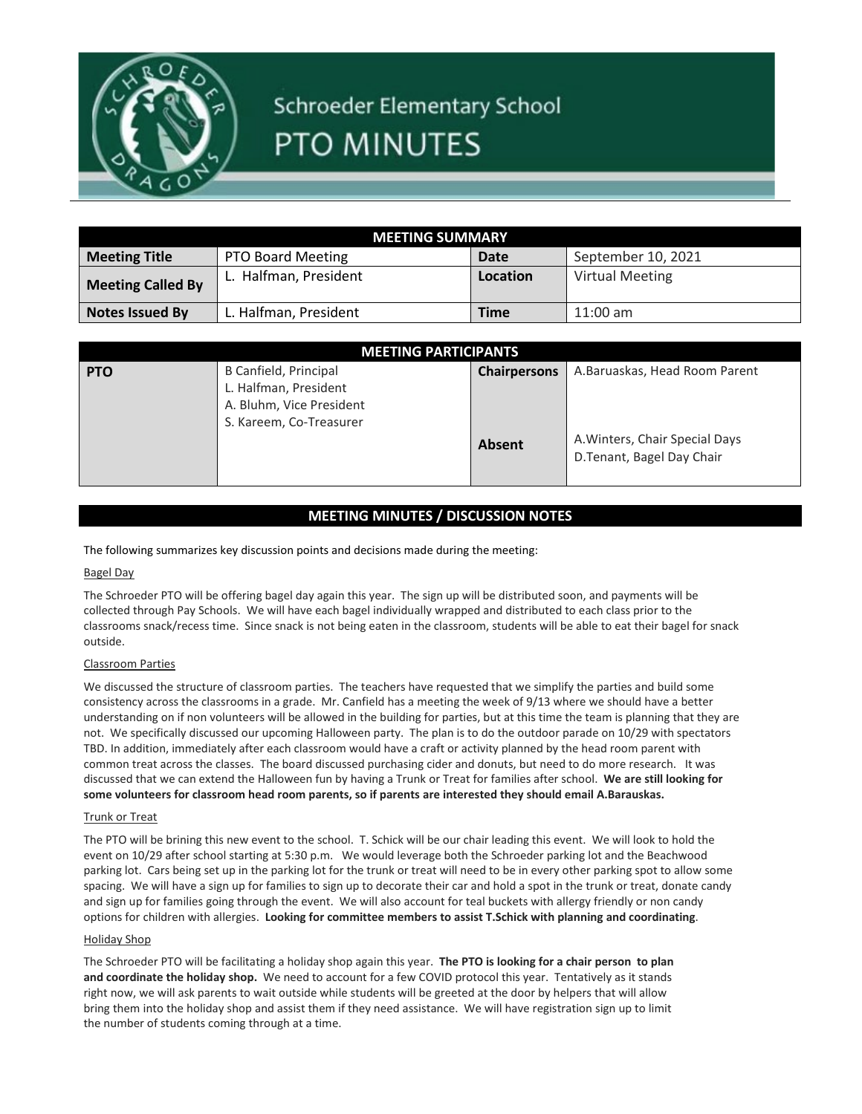

# Schroeder Elementary School **PTO MINUTES**

| <b>MEETING SUMMARY</b>   |                          |          |                        |  |
|--------------------------|--------------------------|----------|------------------------|--|
| <b>Meeting Title</b>     | <b>PTO Board Meeting</b> | Date     | September 10, 2021     |  |
| <b>Meeting Called By</b> | L. Halfman, President    | Location | <b>Virtual Meeting</b> |  |
| <b>Notes Issued By</b>   | L. Halfman, President    | Time     | $11:00$ am             |  |

| <b>MEETING PARTICIPANTS</b> |                                                                                                       |                     |                                                              |  |
|-----------------------------|-------------------------------------------------------------------------------------------------------|---------------------|--------------------------------------------------------------|--|
| <b>PTO</b>                  | B Canfield, Principal<br>L. Halfman, President<br>A. Bluhm, Vice President<br>S. Kareem, Co-Treasurer | <b>Chairpersons</b> | A.Baruaskas, Head Room Parent                                |  |
|                             |                                                                                                       | <b>Absent</b>       | A. Winters, Chair Special Days<br>D. Tenant, Bagel Day Chair |  |

# **MEETING MINUTES / DISCUSSION NOTES**

The following summarizes key discussion points and decisions made during the meeting:

## Bagel Day

The Schroeder PTO will be offering bagel day again this year. The sign up will be distributed soon, and payments will be collected through Pay Schools. We will have each bagel individually wrapped and distributed to each class prior to the classrooms snack/recess time. Since snack is not being eaten in the classroom, students will be able to eat their bagel for snack outside.

### Classroom Parties

We discussed the structure of classroom parties. The teachers have requested that we simplify the parties and build some consistency across the classrooms in a grade. Mr. Canfield has a meeting the week of 9/13 where we should have a better understanding on if non volunteers will be allowed in the building for parties, but at this time the team is planning that they are not. We specifically discussed our upcoming Halloween party. The plan is to do the outdoor parade on 10/29 with spectators TBD. In addition, immediately after each classroom would have a craft or activity planned by the head room parent with common treat across the classes. The board discussed purchasing cider and donuts, but need to do more research. It was discussed that we can extend the Halloween fun by having a Trunk or Treat for families after school. **We are still looking for some volunteers for classroom head room parents, so if parents are interested they should email A.Barauskas.**

#### Trunk or Treat

The PTO will be brining this new event to the school. T. Schick will be our chair leading this event. We will look to hold the event on 10/29 after school starting at 5:30 p.m. We would leverage both the Schroeder parking lot and the Beachwood parking lot. Cars being set up in the parking lot for the trunk or treat will need to be in every other parking spot to allow some spacing. We will have a sign up for families to sign up to decorate their car and hold a spot in the trunk or treat, donate candy and sign up for families going through the event. We will also account for teal buckets with allergy friendly or non candy options for children with allergies. **Looking for committee members to assist T.Schick with planning and coordinating**.

#### Holiday Shop

The Schroeder PTO will be facilitating a holiday shop again this year. **The PTO is looking for a chair person to plan and coordinate the holiday shop.** We need to account for a few COVID protocol this year. Tentatively as it stands right now, we will ask parents to wait outside while students will be greeted at the door by helpers that will allow bring them into the holiday shop and assist them if they need assistance. We will have registration sign up to limit the number of students coming through at a time.